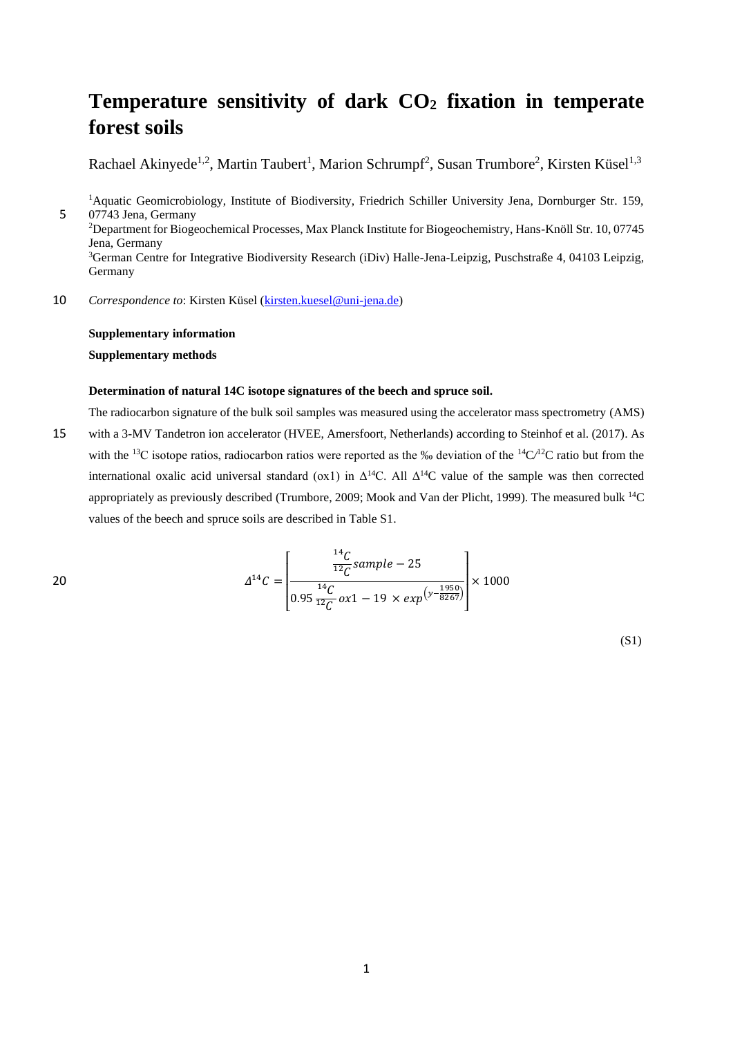# **Temperature sensitivity of dark CO<sup>2</sup> fixation in temperate forest soils**

Rachael Akinyede<sup>1,2</sup>, Martin Taubert<sup>1</sup>, Marion Schrumpf<sup>2</sup>, Susan Trumbore<sup>2</sup>, Kirsten Küsel<sup>1,3</sup>

<sup>1</sup>Aquatic Geomicrobiology, Institute of Biodiversity, Friedrich Schiller University Jena, Dornburger Str. 159, 5 07743 Jena, Germany <sup>2</sup>Department for Biogeochemical Processes, Max Planck Institute for Biogeochemistry, Hans-Knöll Str. 10, 07745 Jena, Germany <sup>3</sup>German Centre for Integrative Biodiversity Research (iDiv) Halle-Jena-Leipzig, Puschstraße 4, 04103 Leipzig, Germany

10 *Correspondence to*: Kirsten Küsel [\(kirsten.kuesel@uni-jena.de\)](mailto:kirsten.kuesel@uni-jena.de)

### **Supplementary information**

**Supplementary methods**

#### **Determination of natural 14C isotope signatures of the beech and spruce soil.**

The radiocarbon signature of the bulk soil samples was measured using the accelerator mass spectrometry (AMS)

15 with a 3-MV Tandetron ion accelerator (HVEE, Amersfoort, Netherlands) according to Steinhof et al. (2017). As with the <sup>13</sup>C isotope ratios, radiocarbon ratios were reported as the ‰ deviation of the <sup>14</sup>C $/$ <sup>12</sup>C ratio but from the international oxalic acid universal standard (ox1) in  $\Delta^{14}C$ . All  $\Delta^{14}C$  value of the sample was then corrected appropriately as previously described (Trumbore, 2009; Mook and Van der Plicht, 1999). The measured bulk <sup>14</sup>C values of the beech and spruce soils are described in Table S1.

 $\overline{14}$ 

20 
$$
\Delta^{14}C = \left[\frac{\frac{^{14}C}{^{12}C}sample - 25}{0.95\frac{^{14}C}{^{12}C}ox1 - 19 \times exp^{(\gamma - \frac{1950}{8267})}}\right] \times 1000
$$

(S1)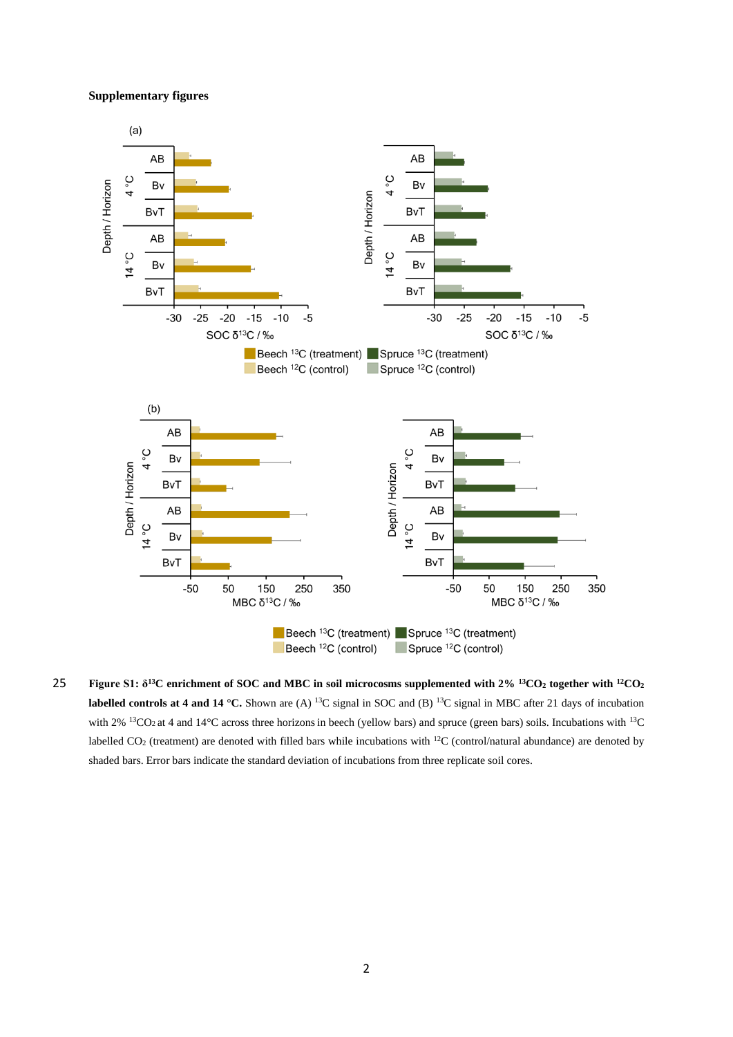#### **Supplementary figures**



**Figure S1: δ<sup>13</sup>C enrichment of SOC and MBC in soil microcosms supplemented with 2% <sup>13</sup>CO<sup>2</sup> together with** 25 **<sup>12</sup>CO<sup>2</sup> labelled controls at 4 and 14 °C.** Shown are (A) <sup>13</sup>C signal in SOC and (B) <sup>13</sup>C signal in MBC after 21 days of incubation with 2%  $13CO<sub>2</sub>$  at 4 and 14°C across three horizons in beech (yellow bars) and spruce (green bars) soils. Incubations with  $13C$ labelled CO<sub>2</sub> (treatment) are denoted with filled bars while incubations with <sup>12</sup>C (control/natural abundance) are denoted by shaded bars. Error bars indicate the standard deviation of incubations from three replicate soil cores.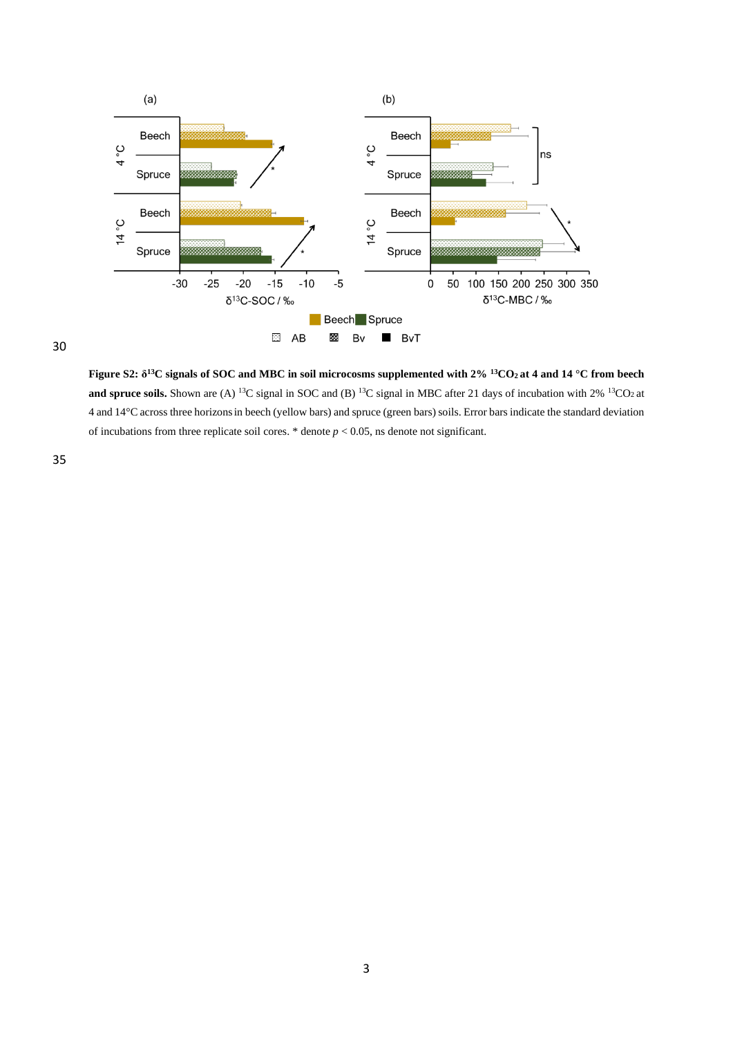

30

**Figure S2: δ <sup>13</sup>C signals of SOC and MBC in soil microcosms supplemented with 2% <sup>13</sup>CO2 at 4 and 14 °C from beech and spruce soils.** Shown are (A) <sup>13</sup>C signal in SOC and (B) <sup>13</sup>C signal in MBC after 21 days of incubation with 2% <sup>13</sup>CO<sub>2</sub> at 4 and 14°C across three horizonsin beech (yellow bars) and spruce (green bars) soils. Error bars indicate the standard deviation of incubations from three replicate soil cores.  $*$  denote  $p < 0.05$ , ns denote not significant.

35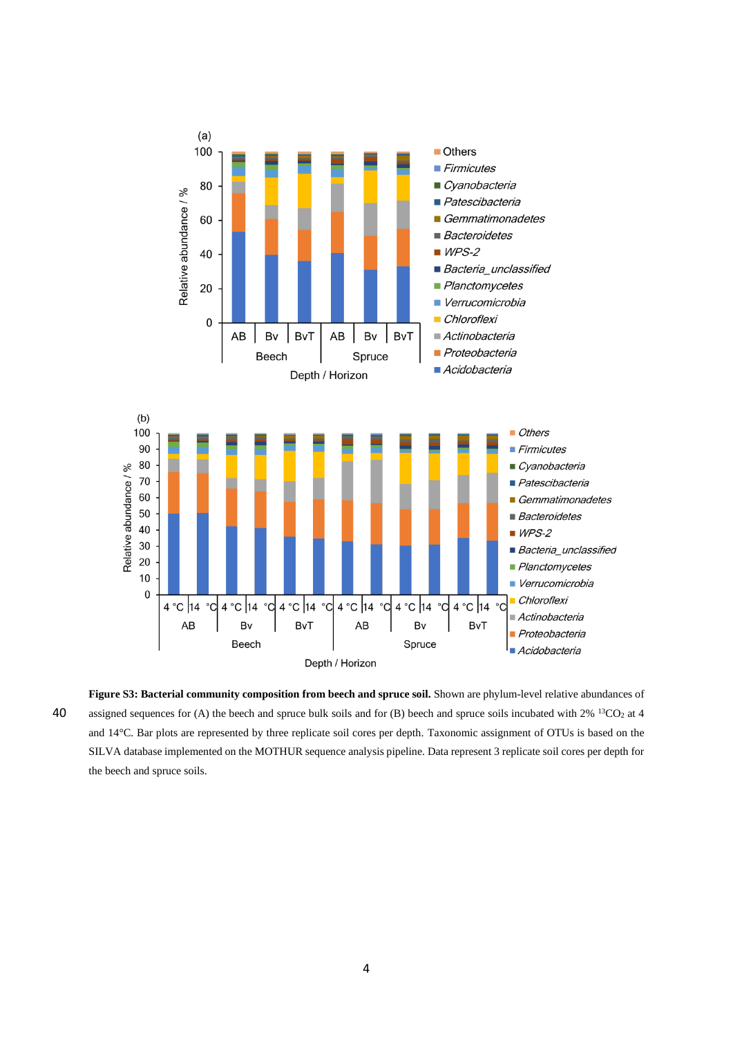

Figure S3: Bacterial community composition from beech and spruce soil. Shown are phylum-level relative abundances of 40 assigned sequences for (A) the beech and spruce bulk soils and for (B) beech and spruce soils incubated with  $2\%$  <sup>13</sup>CO<sub>2</sub> at 4 and 14°C. Bar plots are represented by three replicate soil cores per depth. Taxonomic assignment of OTUs is based on the SILVA database implemented on the MOTHUR sequence analysis pipeline. Data represent 3 replicate soil cores per depth for the beech and spruce soils.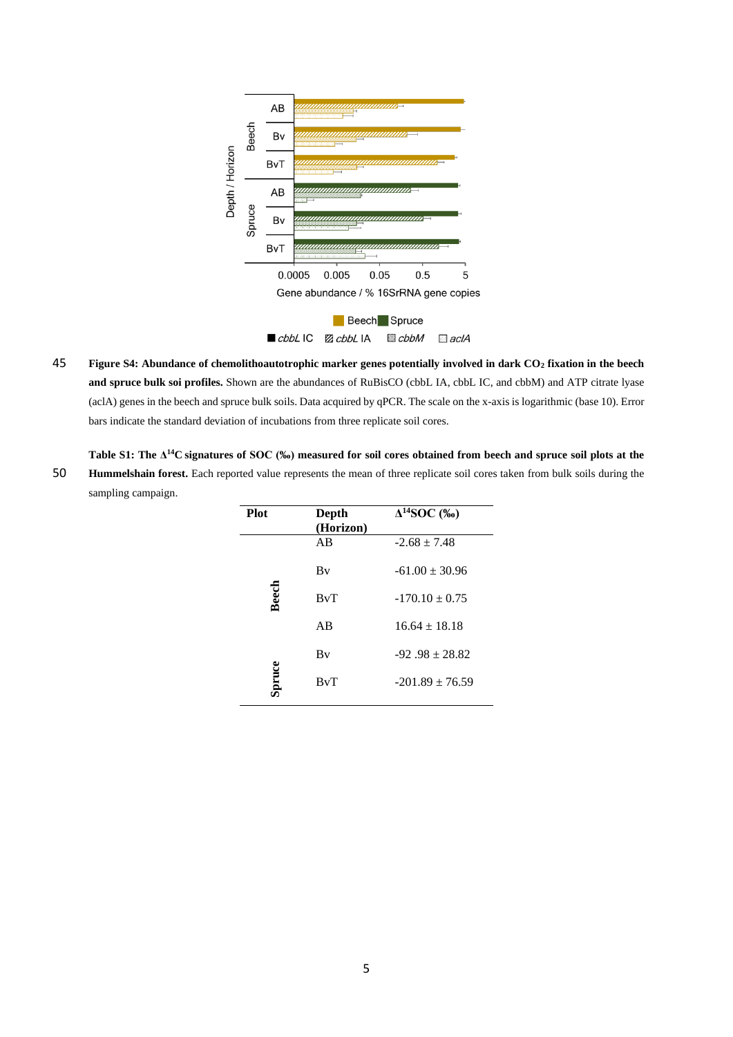

45 **Figure S4: Abundance of chemolithoautotrophic marker genes potentially involved in dark CO<sup>2</sup> fixation in the beech and spruce bulk soi profiles.** Shown are the abundances of RuBisCO (cbbL IA, cbbL IC, and cbbM) and ATP citrate lyase (aclA) genes in the beech and spruce bulk soils. Data acquired by qPCR. The scale on the x-axis is logarithmic (base 10). Error bars indicate the standard deviation of incubations from three replicate soil cores.

**Table S1: The Δ <sup>14</sup>C signatures of SOC (‰) measured for soil cores obtained from beech and spruce soil plots at the**  50 **Hummelshain forest.** Each reported value represents the mean of three replicate soil cores taken from bulk soils during the sampling campaign.

| <b>Plot</b>  | Depth<br>(Horizon) | $\Delta^{14}$ SOC (‰) |
|--------------|--------------------|-----------------------|
|              | AB                 | $-2.68 \pm 7.48$      |
| <b>Beech</b> | Bv                 | $-61.00 \pm 30.96$    |
|              | BvT                | $-170.10 \pm 0.75$    |
|              | AB                 | $16.64 + 18.18$       |
| pruce        | Bv                 | $-92.98 \pm 28.82$    |
|              | BvT                | $-201.89 + 76.59$     |
|              |                    |                       |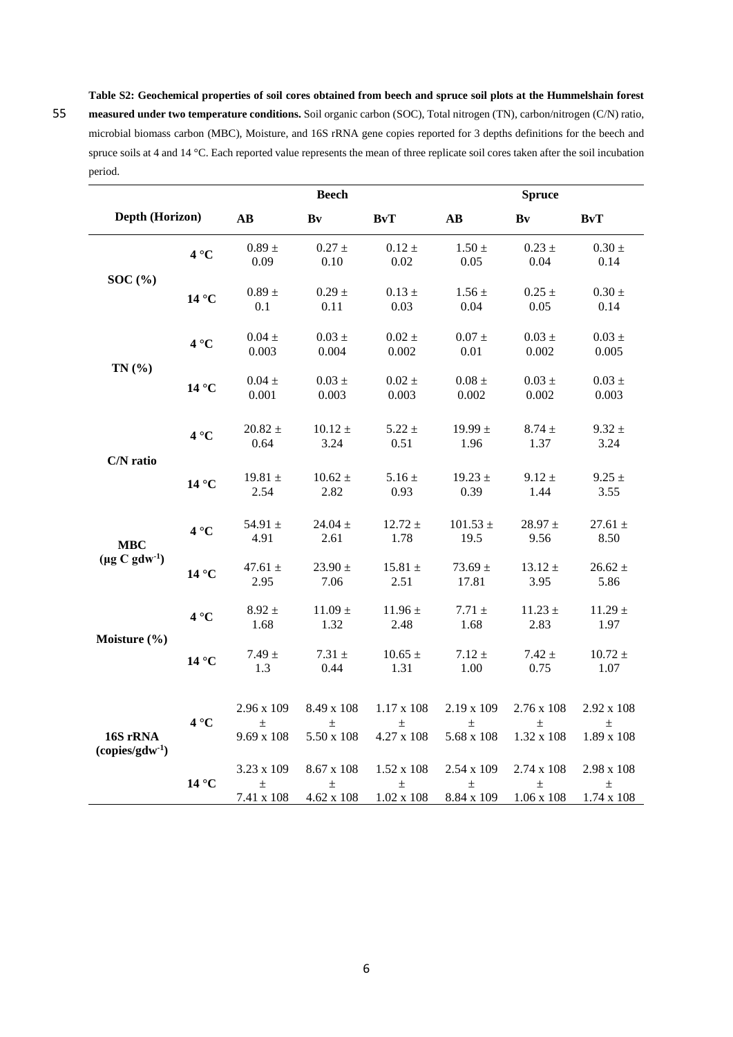**Table S2: Geochemical properties of soil cores obtained from beech and spruce soil plots at the Hummelshain forest**  55 **measured under two temperature conditions.** Soil organic carbon (SOC), Total nitrogen (TN), carbon/nitrogen (C/N) ratio, microbial biomass carbon (MBC), Moisture, and 16S rRNA gene copies reported for 3 depths definitions for the beech and spruce soils at 4 and 14 °C. Each reported value represents the mean of three replicate soil cores taken after the soil incubation period.

|                                        |                |                                          | <b>Beech</b><br><b>Spruce</b>         |                                          |                                   |                                       |                                          |
|----------------------------------------|----------------|------------------------------------------|---------------------------------------|------------------------------------------|-----------------------------------|---------------------------------------|------------------------------------------|
| Depth (Horizon)                        |                | AB                                       | Bv                                    | BvT                                      | $\mathbf{A}\mathbf{B}$            | Bv                                    | <b>BvT</b>                               |
| SOC(%)                                 | $4^{\circ}C$   | $0.89 \pm$<br>0.09                       | $0.27 \pm$<br>0.10                    | $0.12 \pm$<br>0.02                       | $1.50 \pm$<br>0.05                | $0.23 \pm$<br>0.04                    | $0.30 \pm$<br>0.14                       |
|                                        | $14^{\circ}$ C | $0.89 \pm$<br>0.1                        | $0.29 \pm$<br>0.11                    | $0.13 \pm$<br>0.03                       | $1.56 \pm$<br>0.04                | $0.25 \pm$<br>0.05                    | $0.30 \pm$<br>0.14                       |
| TN(%                                   | $4^{\circ}C$   | $0.04\,\pm\,$<br>0.003                   | $0.03 \pm$<br>0.004                   | $0.02 \pm$<br>0.002                      | $0.07 \pm$<br>0.01                | $0.03 \pm$<br>0.002                   | $0.03 \pm$<br>0.005                      |
|                                        | $14^{\circ}$ C | $0.04\,\pm\,$<br>0.001                   | $0.03 \pm$<br>0.003                   | $0.02\,\pm\,$<br>0.003                   | $0.08$ $\pm$<br>0.002             | $0.03 \pm$<br>0.002                   | $0.03 \pm$<br>0.003                      |
| C/N ratio                              | $4^{\circ}C$   | $20.82 \pm$<br>0.64                      | $10.12 \pm$<br>3.24                   | $5.22 \pm$<br>0.51                       | 19.99 $\pm$<br>1.96               | $8.74 \pm$<br>1.37                    | $9.32 \pm$<br>3.24                       |
|                                        | 14 °C          | 19.81 $\pm$<br>2.54                      | $10.62 \pm$<br>2.82                   | $5.16 \pm$<br>0.93                       | $19.23 \pm$<br>0.39               | $9.12 \pm$<br>1.44                    | $9.25 \pm$<br>3.55                       |
| <b>MBC</b><br>$(\mu g C g d w^1)$      | $4^{\circ}C$   | 54.91 $\pm$<br>4.91                      | $24.04 \pm$<br>2.61                   | $12.72 \pm$<br>1.78                      | $101.53 \pm$<br>19.5              | $28.97 \pm$<br>9.56                   | $27.61 \pm$<br>8.50                      |
|                                        | $14^{\circ}C$  | 47.61 $\pm$<br>2.95                      | $23.90 \pm$<br>7.06                   | 15.81 $\pm$<br>2.51                      | $73.69 \pm$<br>17.81              | $13.12 \pm$<br>3.95                   | $26.62 \pm$<br>5.86                      |
| Moisture (%)                           | $4^{\circ}C$   | $8.92 \pm$<br>1.68                       | $11.09 \pm$<br>1.32                   | $11.96 \pm$<br>2.48                      | $7.71 \pm$<br>1.68                | $11.23 \pm$<br>2.83                   | $11.29 \pm$<br>1.97                      |
|                                        | $14^{\circ}C$  | $7.49 \pm$<br>1.3                        | $7.31 \pm$<br>0.44                    | $10.65 \pm$<br>1.31                      | $7.12 \pm$<br>1.00                | $7.42 \pm$<br>0.75                    | $10.72 \pm$<br>1.07                      |
| 16S rRNA<br>(copies/gdw <sup>1</sup> ) | $4^{\circ}C$   | 2.96 x 109<br>$\pm$<br>$9.69 \times 108$ | 8.49 x 108<br>$\pm$<br>5.50 x 108     | $1.17 \times 108$<br>士<br>4.27 x 108     | 2.19 x 109<br>$\pm$<br>5.68 x 108 | 2.76 x 108<br>$\pm$<br>1.32 x 108     | 2.92 x 108<br>$\pm$<br>1.89 x 108        |
|                                        | $14^{\circ}$ C | 3.23 x 109<br>$\pm$<br>$7.41\ge108$      | 8.67 x 108<br>$\pm$<br>$4.62 \ge 108$ | $1.52 \times 108$<br>士<br>$1.02 \ge 108$ | 2.54 x 109<br>$\pm$<br>8.84 x 109 | 2.74 x 108<br>$\pm$<br>$1.06 \ge 108$ | 2.98 x 108<br>$\pm$<br>$1.74 \times 108$ |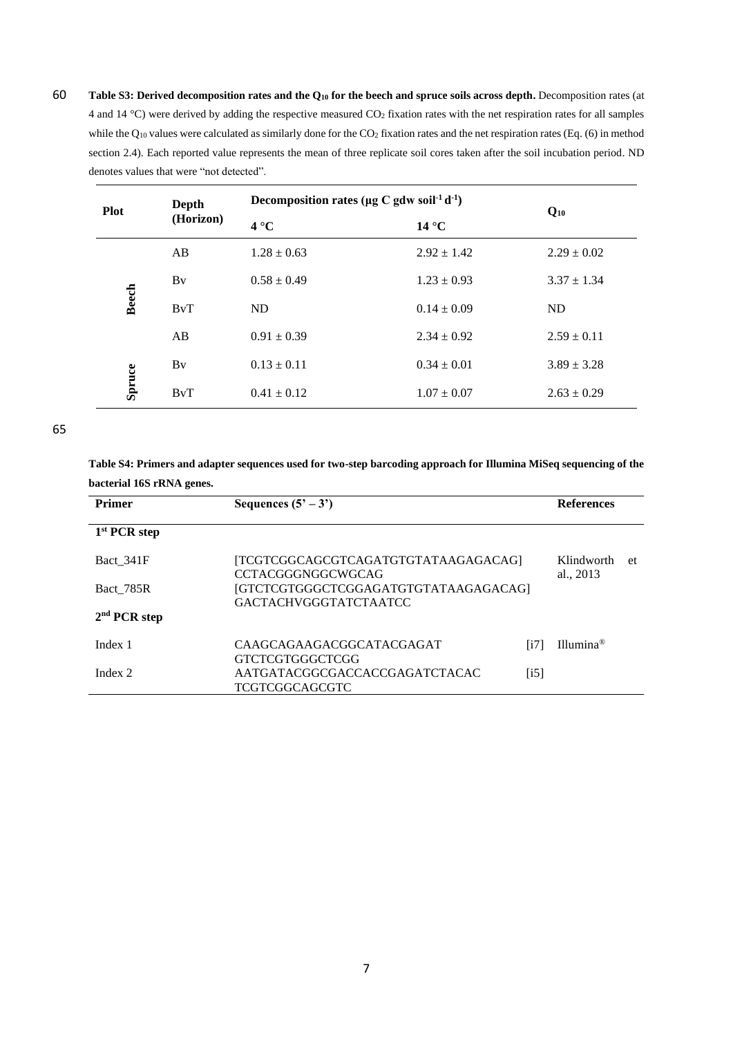60 **Table S3: Derived decomposition rates and the Q<sup>10</sup> for the beech and spruce soils across depth.** Decomposition rates (at 4 and 14 °C) were derived by adding the respective measured CO<sup>2</sup> fixation rates with the net respiration rates for all samples while the  $Q_{10}$  values were calculated as similarly done for the CO<sub>2</sub> fixation rates and the net respiration rates (Eq. (6) in method section 2.4). Each reported value represents the mean of three replicate soil cores taken after the soil incubation period. ND denotes values that were "not detected".

| <b>Plot</b>            | Depth<br>(Horizon) | Decomposition rates ( $\mu$ g C gdw soil <sup>-1</sup> d <sup>-1</sup> ) |                 | $Q_{10}$        |  |
|------------------------|--------------------|--------------------------------------------------------------------------|-----------------|-----------------|--|
|                        |                    | $4^{\circ}C$                                                             | $14^{\circ}$ C  |                 |  |
| <b>Beech</b><br>Spruce | AB                 | $1.28 \pm 0.63$                                                          | $2.92 \pm 1.42$ | $2.29 \pm 0.02$ |  |
|                        | Bv                 | $0.58 \pm 0.49$                                                          | $1.23 \pm 0.93$ | $3.37 \pm 1.34$ |  |
|                        | BvT                | <b>ND</b>                                                                | $0.14 \pm 0.09$ | ND              |  |
|                        | AB                 | $0.91 \pm 0.39$                                                          | $2.34 \pm 0.92$ | $2.59 \pm 0.11$ |  |
|                        | By                 | $0.13 \pm 0.11$                                                          | $0.34 \pm 0.01$ | $3.89 \pm 3.28$ |  |
|                        | BvT                | $0.41 \pm 0.12$                                                          | $1.07 \pm 0.07$ | $2.63 \pm 0.29$ |  |

65

**Table S4: Primers and adapter sequences used for two-step barcoding approach for Illumina MiSeq sequencing of the bacterial 16S rRNA genes.**

| <b>Primer</b>            | Sequences $(5' - 3')$                                                |      | <b>References</b>       |     |
|--------------------------|----------------------------------------------------------------------|------|-------------------------|-----|
| 1 <sup>st</sup> PCR step |                                                                      |      |                         |     |
| Bact 341F                | [TCGTCGGCAGCGTCAGATGTGTATAAGAGACAG]<br>CCTACGGGNGGCWGCAG             |      | Klindworth<br>al., 2013 | -et |
| Bact 785R                | [GTCTCGTGGGCTCGGAGATGTGTATAAGAGACAG]<br><b>GACTACHVGGGTATCTAATCC</b> |      |                         |     |
| 2 <sup>nd</sup> PCR step |                                                                      |      |                         |     |
| Index 1                  | CAAGCAGAAGACGGCATACGAGAT<br>GTCTCGTGGGCTCGG                          | [i7] | Illumina <sup>®</sup>   |     |
| Index 2                  | AATGATACGGCGACCACCGAGATCTACAC<br>TCGTCGGCAGCGTC                      | [i5] |                         |     |